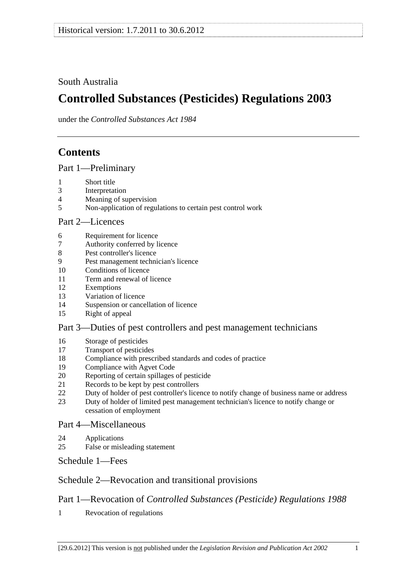## <span id="page-0-0"></span>South Australia

# **Controlled Substances (Pesticides) Regulations 2003**

under the *Controlled Substances Act 1984*

## **Contents**

[Part 1—Preliminary](#page-1-0)

- [1 Short title](#page-1-0)
- [3 Interpretation](#page-1-0)
- [4 Meaning of supervision](#page-2-0)
- [5 Non-application of regulations to certain pest control work](#page-2-0)

## [Part 2—Licences](#page-3-0)

- [6 Requirement for licence](#page-3-0)
- [7 Authority conferred by licence](#page-3-0)
- [8 Pest controller's licence](#page-4-0)
- [9 Pest management technician's licence](#page-4-0)
- [10 Conditions of licence](#page-6-0)
- [11 Term and renewal of licence](#page-6-0)
- [12 Exemptions](#page-6-0)
- [13 Variation of licence](#page-7-0)
- [14 Suspension or cancellation of licence](#page-7-0)
- [15 Right of appeal](#page-8-0)

## [Part 3—Duties of pest controllers and pest management technicians](#page-8-0)

- [16 Storage of pesticides](#page-8-0)
- [17 Transport of pesticides](#page-9-0)
- [18 Compliance with prescribed standards and codes of practice](#page-9-0)
- [19 Compliance with Agvet Code](#page-10-0)
- [20 Reporting of certain spillages of pesticide](#page-11-0)
- [21 Records to be kept by pest controllers](#page-11-0)
- [22 Duty of holder of pest controller's licence to notify change of business name or address](#page-12-0)
- [23 Duty of holder of limited pest management technician's licence to notify change or](#page-13-0)  [cessation of employment](#page-13-0)

## [Part 4—Miscellaneous](#page-13-0)

- [24 Applications](#page-13-0)
- [25 False or misleading statement](#page-13-0)

[Schedule 1—Fees](#page-13-0) 

## [Schedule 2—Revocation and transitional provisions](#page-14-0)

## Part 1—Revocation of *[Controlled Substances \(Pesticide\) Regulations 1988](#page-0-0)*

[1 Revocation of regulations](#page-14-0)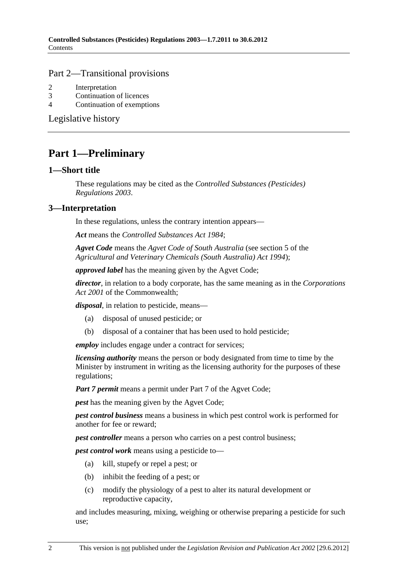#### <span id="page-1-0"></span>[Part 2—Transitional provisions](#page-0-0)

- [2 Interpretation](#page-14-0)
- [3 Continuation of licences](#page-14-0)
- [4 Continuation of exemptions](#page-14-0)

[Legislative history](#page-15-0) 

## **Part 1—Preliminary**

#### **1—Short title**

These regulations may be cited as the *Controlled Substances (Pesticides) Regulations 2003*.

## **3—Interpretation**

In these regulations, unless the contrary intention appears—

*Act* means the *[Controlled Substances Act 1984](http://www.legislation.sa.gov.au/index.aspx?action=legref&type=act&legtitle=Controlled%20Substances%20Act%201984)*;

*Agvet Code* means the *Agvet Code of South Australia* (see section 5 of the *[Agricultural and Veterinary Chemicals \(South Australia\) Act 1994](http://www.legislation.sa.gov.au/index.aspx?action=legref&type=act&legtitle=Agricultural%20and%20Veterinary%20Chemicals%20(South%20Australia)%20Act%201994)*);

*approved label* has the meaning given by the Agvet Code;

*director*, in relation to a body corporate, has the same meaning as in the *Corporations Act 2001* of the Commonwealth;

*disposal*, in relation to pesticide, means—

- (a) disposal of unused pesticide; or
- (b) disposal of a container that has been used to hold pesticide;

*employ* includes engage under a contract for services;

*licensing authority* means the person or body designated from time to time by the Minister by instrument in writing as the licensing authority for the purposes of these regulations;

*Part 7 permit* means a permit under Part 7 of the Agvet Code;

*pest* has the meaning given by the Agvet Code;

*pest control business* means a business in which pest control work is performed for another for fee or reward;

*pest controller* means a person who carries on a pest control business;

*pest control work* means using a pesticide to—

- (a) kill, stupefy or repel a pest; or
- (b) inhibit the feeding of a pest; or
- (c) modify the physiology of a pest to alter its natural development or reproductive capacity,

and includes measuring, mixing, weighing or otherwise preparing a pesticide for such use;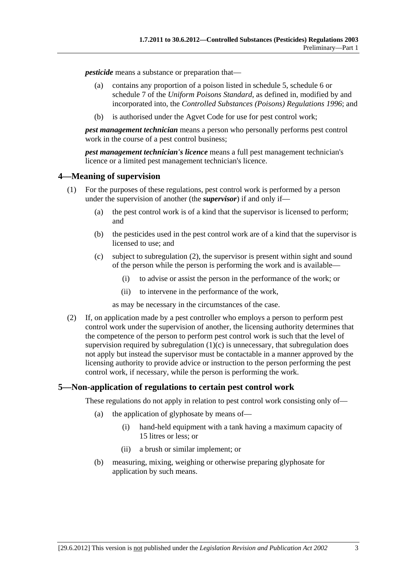<span id="page-2-0"></span>*pesticide* means a substance or preparation that—

- (a) contains any proportion of a poison listed in schedule 5, schedule 6 or schedule 7 of the *Uniform Poisons Standard*, as defined in, modified by and incorporated into, the *[Controlled Substances \(Poisons\) Regulations 1996](http://www.legislation.sa.gov.au/index.aspx?action=legref&type=subordleg&legtitle=Controlled%20Substances%20(Poisons)%20Regulations%201996)*; and
- (b) is authorised under the Agvet Code for use for pest control work;

*pest management technician* means a person who personally performs pest control work in the course of a pest control business;

*pest management technician's licence* means a full pest management technician's licence or a limited pest management technician's licence.

## **4—Meaning of supervision**

- (1) For the purposes of these regulations, pest control work is performed by a person under the supervision of another (the *supervisor*) if and only if—
	- (a) the pest control work is of a kind that the supervisor is licensed to perform; and
	- (b) the pesticides used in the pest control work are of a kind that the supervisor is licensed to use; and
	- (c) subject to [subregulation \(2\),](#page-2-0) the supervisor is present within sight and sound of the person while the person is performing the work and is available—
		- (i) to advise or assist the person in the performance of the work; or
		- (ii) to intervene in the performance of the work,

as may be necessary in the circumstances of the case.

 (2) If, on application made by a pest controller who employs a person to perform pest control work under the supervision of another, the licensing authority determines that the competence of the person to perform pest control work is such that the level of supervision required by subregulation  $(1)(c)$  is unnecessary, that subregulation does not apply but instead the supervisor must be contactable in a manner approved by the licensing authority to provide advice or instruction to the person performing the pest control work, if necessary, while the person is performing the work.

## **5—Non-application of regulations to certain pest control work**

These regulations do not apply in relation to pest control work consisting only of—

- (a) the application of glyphosate by means of—
	- (i) hand-held equipment with a tank having a maximum capacity of 15 litres or less; or
	- (ii) a brush or similar implement; or
- (b) measuring, mixing, weighing or otherwise preparing glyphosate for application by such means.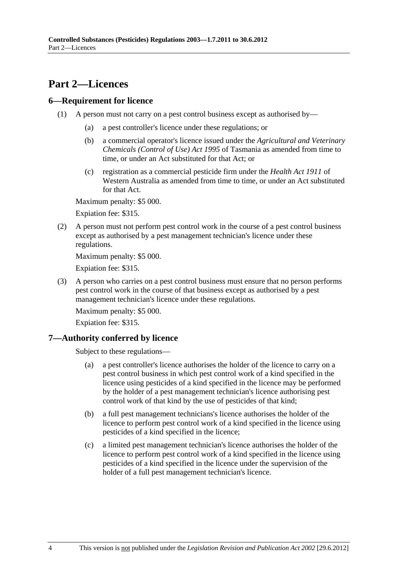## <span id="page-3-0"></span>**Part 2—Licences**

## **6—Requirement for licence**

- (1) A person must not carry on a pest control business except as authorised by—
	- (a) a pest controller's licence under these regulations; or
	- (b) a commercial operator's licence issued under the *Agricultural and Veterinary Chemicals (Control of Use) Act 1995* of Tasmania as amended from time to time, or under an Act substituted for that Act; or
	- (c) registration as a commercial pesticide firm under the *Health Act 1911* of Western Australia as amended from time to time, or under an Act substituted for that Act.

Maximum penalty: \$5 000.

Expiation fee: \$315.

 (2) A person must not perform pest control work in the course of a pest control business except as authorised by a pest management technician's licence under these regulations.

Maximum penalty: \$5 000.

Expiation fee: \$315.

 (3) A person who carries on a pest control business must ensure that no person performs pest control work in the course of that business except as authorised by a pest management technician's licence under these regulations.

Maximum penalty: \$5 000.

Expiation fee: \$315.

## **7—Authority conferred by licence**

Subject to these regulations—

- (a) a pest controller's licence authorises the holder of the licence to carry on a pest control business in which pest control work of a kind specified in the licence using pesticides of a kind specified in the licence may be performed by the holder of a pest management technician's licence authorising pest control work of that kind by the use of pesticides of that kind;
- (b) a full pest management technicians's licence authorises the holder of the licence to perform pest control work of a kind specified in the licence using pesticides of a kind specified in the licence;
- (c) a limited pest management technician's licence authorises the holder of the licence to perform pest control work of a kind specified in the licence using pesticides of a kind specified in the licence under the supervision of the holder of a full pest management technician's licence.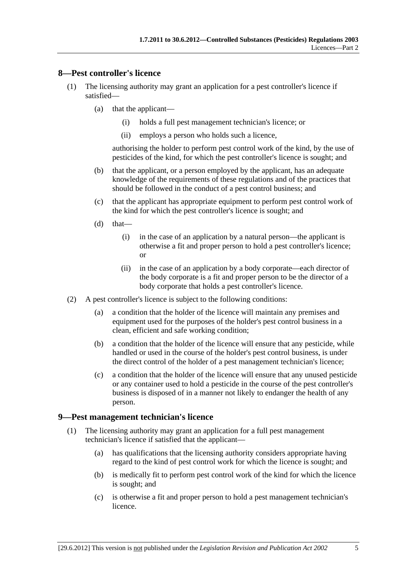#### <span id="page-4-0"></span>**8—Pest controller's licence**

- (1) The licensing authority may grant an application for a pest controller's licence if satisfied—
	- (a) that the applicant—
		- (i) holds a full pest management technician's licence; or
		- (ii) employs a person who holds such a licence,

authorising the holder to perform pest control work of the kind, by the use of pesticides of the kind, for which the pest controller's licence is sought; and

- (b) that the applicant, or a person employed by the applicant, has an adequate knowledge of the requirements of these regulations and of the practices that should be followed in the conduct of a pest control business; and
- (c) that the applicant has appropriate equipment to perform pest control work of the kind for which the pest controller's licence is sought; and
- $(d)$  that—
	- (i) in the case of an application by a natural person—the applicant is otherwise a fit and proper person to hold a pest controller's licence; or
	- (ii) in the case of an application by a body corporate—each director of the body corporate is a fit and proper person to be the director of a body corporate that holds a pest controller's licence.
- (2) A pest controller's licence is subject to the following conditions:
	- (a) a condition that the holder of the licence will maintain any premises and equipment used for the purposes of the holder's pest control business in a clean, efficient and safe working condition;
	- (b) a condition that the holder of the licence will ensure that any pesticide, while handled or used in the course of the holder's pest control business, is under the direct control of the holder of a pest management technician's licence;
	- (c) a condition that the holder of the licence will ensure that any unused pesticide or any container used to hold a pesticide in the course of the pest controller's business is disposed of in a manner not likely to endanger the health of any person.

#### **9—Pest management technician's licence**

- (1) The licensing authority may grant an application for a full pest management technician's licence if satisfied that the applicant—
	- (a) has qualifications that the licensing authority considers appropriate having regard to the kind of pest control work for which the licence is sought; and
	- (b) is medically fit to perform pest control work of the kind for which the licence is sought; and
	- (c) is otherwise a fit and proper person to hold a pest management technician's licence.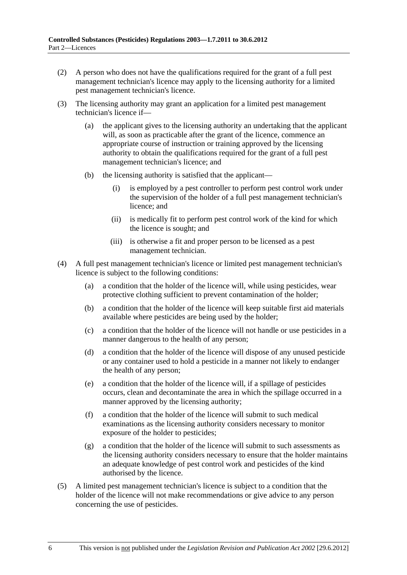- (2) A person who does not have the qualifications required for the grant of a full pest management technician's licence may apply to the licensing authority for a limited pest management technician's licence.
- (3) The licensing authority may grant an application for a limited pest management technician's licence if—
	- (a) the applicant gives to the licensing authority an undertaking that the applicant will, as soon as practicable after the grant of the licence, commence an appropriate course of instruction or training approved by the licensing authority to obtain the qualifications required for the grant of a full pest management technician's licence; and
	- (b) the licensing authority is satisfied that the applicant—
		- (i) is employed by a pest controller to perform pest control work under the supervision of the holder of a full pest management technician's licence; and
		- (ii) is medically fit to perform pest control work of the kind for which the licence is sought; and
		- (iii) is otherwise a fit and proper person to be licensed as a pest management technician.
- (4) A full pest management technician's licence or limited pest management technician's licence is subject to the following conditions:
	- (a) a condition that the holder of the licence will, while using pesticides, wear protective clothing sufficient to prevent contamination of the holder;
	- (b) a condition that the holder of the licence will keep suitable first aid materials available where pesticides are being used by the holder;
	- (c) a condition that the holder of the licence will not handle or use pesticides in a manner dangerous to the health of any person;
	- (d) a condition that the holder of the licence will dispose of any unused pesticide or any container used to hold a pesticide in a manner not likely to endanger the health of any person;
	- (e) a condition that the holder of the licence will, if a spillage of pesticides occurs, clean and decontaminate the area in which the spillage occurred in a manner approved by the licensing authority;
	- (f) a condition that the holder of the licence will submit to such medical examinations as the licensing authority considers necessary to monitor exposure of the holder to pesticides;
	- (g) a condition that the holder of the licence will submit to such assessments as the licensing authority considers necessary to ensure that the holder maintains an adequate knowledge of pest control work and pesticides of the kind authorised by the licence.
- (5) A limited pest management technician's licence is subject to a condition that the holder of the licence will not make recommendations or give advice to any person concerning the use of pesticides.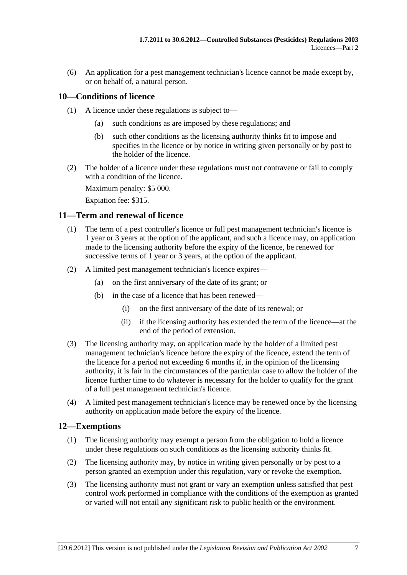<span id="page-6-0"></span> (6) An application for a pest management technician's licence cannot be made except by, or on behalf of, a natural person.

## **10—Conditions of licence**

- (1) A licence under these regulations is subject to—
	- (a) such conditions as are imposed by these regulations; and
	- (b) such other conditions as the licensing authority thinks fit to impose and specifies in the licence or by notice in writing given personally or by post to the holder of the licence.
- (2) The holder of a licence under these regulations must not contravene or fail to comply with a condition of the licence.

Maximum penalty: \$5 000.

Expiation fee: \$315.

#### **11—Term and renewal of licence**

- (1) The term of a pest controller's licence or full pest management technician's licence is 1 year or 3 years at the option of the applicant, and such a licence may, on application made to the licensing authority before the expiry of the licence, be renewed for successive terms of 1 year or 3 years, at the option of the applicant.
- (2) A limited pest management technician's licence expires—
	- (a) on the first anniversary of the date of its grant; or
	- (b) in the case of a licence that has been renewed—
		- (i) on the first anniversary of the date of its renewal; or
		- (ii) if the licensing authority has extended the term of the licence—at the end of the period of extension.
- (3) The licensing authority may, on application made by the holder of a limited pest management technician's licence before the expiry of the licence, extend the term of the licence for a period not exceeding 6 months if, in the opinion of the licensing authority, it is fair in the circumstances of the particular case to allow the holder of the licence further time to do whatever is necessary for the holder to qualify for the grant of a full pest management technician's licence.
- (4) A limited pest management technician's licence may be renewed once by the licensing authority on application made before the expiry of the licence.

#### **12—Exemptions**

- (1) The licensing authority may exempt a person from the obligation to hold a licence under these regulations on such conditions as the licensing authority thinks fit.
- (2) The licensing authority may, by notice in writing given personally or by post to a person granted an exemption under this regulation, vary or revoke the exemption.
- (3) The licensing authority must not grant or vary an exemption unless satisfied that pest control work performed in compliance with the conditions of the exemption as granted or varied will not entail any significant risk to public health or the environment.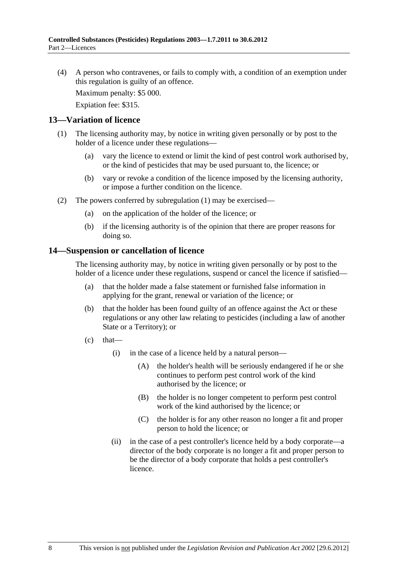<span id="page-7-0"></span> (4) A person who contravenes, or fails to comply with, a condition of an exemption under this regulation is guilty of an offence.

Maximum penalty: \$5 000.

Expiation fee: \$315.

#### **13—Variation of licence**

- (1) The licensing authority may, by notice in writing given personally or by post to the holder of a licence under these regulations—
	- (a) vary the licence to extend or limit the kind of pest control work authorised by, or the kind of pesticides that may be used pursuant to, the licence; or
	- (b) vary or revoke a condition of the licence imposed by the licensing authority, or impose a further condition on the licence.
- (2) The powers conferred by [subregulation \(1\)](#page-7-0) may be exercised—
	- (a) on the application of the holder of the licence; or
	- (b) if the licensing authority is of the opinion that there are proper reasons for doing so.

#### **14—Suspension or cancellation of licence**

The licensing authority may, by notice in writing given personally or by post to the holder of a licence under these regulations, suspend or cancel the licence if satisfied—

- (a) that the holder made a false statement or furnished false information in applying for the grant, renewal or variation of the licence; or
- (b) that the holder has been found guilty of an offence against the Act or these regulations or any other law relating to pesticides (including a law of another State or a Territory); or
- $(c)$  that—
	- (i) in the case of a licence held by a natural person—
		- (A) the holder's health will be seriously endangered if he or she continues to perform pest control work of the kind authorised by the licence; or
		- (B) the holder is no longer competent to perform pest control work of the kind authorised by the licence; or
		- (C) the holder is for any other reason no longer a fit and proper person to hold the licence; or
	- (ii) in the case of a pest controller's licence held by a body corporate—a director of the body corporate is no longer a fit and proper person to be the director of a body corporate that holds a pest controller's licence.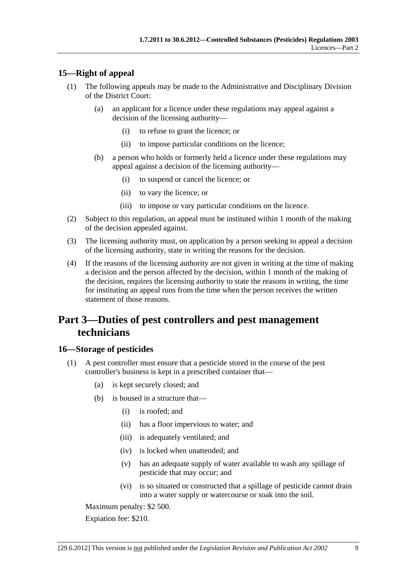## <span id="page-8-0"></span>**15—Right of appeal**

- (1) The following appeals may be made to the Administrative and Disciplinary Division of the District Court:
	- (a) an applicant for a licence under these regulations may appeal against a decision of the licensing authority—
		- (i) to refuse to grant the licence; or
		- (ii) to impose particular conditions on the licence;
	- (b) a person who holds or formerly held a licence under these regulations may appeal against a decision of the licensing authority—
		- (i) to suspend or cancel the licence; or
		- (ii) to vary the licence; or
		- (iii) to impose or vary particular conditions on the licence.
- (2) Subject to this regulation, an appeal must be instituted within 1 month of the making of the decision appealed against.
- (3) The licensing authority must, on application by a person seeking to appeal a decision of the licensing authority, state in writing the reasons for the decision.
- (4) If the reasons of the licensing authority are not given in writing at the time of making a decision and the person affected by the decision, within 1 month of the making of the decision, requires the licensing authority to state the reasons in writing, the time for instituting an appeal runs from the time when the person receives the written statement of those reasons.

## **Part 3—Duties of pest controllers and pest management technicians**

## **16—Storage of pesticides**

- (1) A pest controller must ensure that a pesticide stored in the course of the pest controller's business is kept in a prescribed container that—
	- (a) is kept securely closed; and
	- (b) is housed in a structure that—
		- (i) is roofed; and
		- (ii) has a floor impervious to water; and
		- (iii) is adequately ventilated; and
		- (iv) is locked when unattended; and
		- (v) has an adequate supply of water available to wash any spillage of pesticide that may occur; and
		- (vi) is so situated or constructed that a spillage of pesticide cannot drain into a water supply or watercourse or soak into the soil.

Maximum penalty: \$2 500.

Expiation fee: \$210.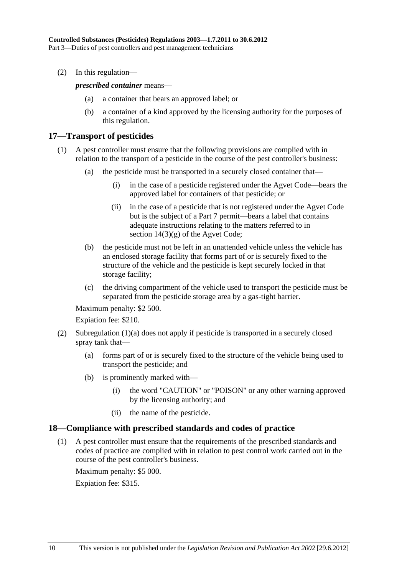<span id="page-9-0"></span>(2) In this regulation—

*prescribed container* means—

- (a) a container that bears an approved label; or
- (b) a container of a kind approved by the licensing authority for the purposes of this regulation.

## **17—Transport of pesticides**

- (1) A pest controller must ensure that the following provisions are complied with in relation to the transport of a pesticide in the course of the pest controller's business:
	- (a) the pesticide must be transported in a securely closed container that—
		- (i) in the case of a pesticide registered under the Agvet Code—bears the approved label for containers of that pesticide; or
		- (ii) in the case of a pesticide that is not registered under the Agvet Code but is the subject of a Part 7 permit—bears a label that contains adequate instructions relating to the matters referred to in section 14(3)(g) of the Agvet Code;
	- (b) the pesticide must not be left in an unattended vehicle unless the vehicle has an enclosed storage facility that forms part of or is securely fixed to the structure of the vehicle and the pesticide is kept securely locked in that storage facility;
	- (c) the driving compartment of the vehicle used to transport the pesticide must be separated from the pesticide storage area by a gas-tight barrier.

Maximum penalty: \$2 500.

Expiation fee: \$210.

- (2) [Subregulation \(1\)\(a\)](#page-8-0) does not apply if pesticide is transported in a securely closed spray tank that—
	- (a) forms part of or is securely fixed to the structure of the vehicle being used to transport the pesticide; and
	- (b) is prominently marked with—
		- (i) the word "CAUTION" or "POISON" or any other warning approved by the licensing authority; and
		- (ii) the name of the pesticide.

#### **18—Compliance with prescribed standards and codes of practice**

 (1) A pest controller must ensure that the requirements of the prescribed standards and codes of practice are complied with in relation to pest control work carried out in the course of the pest controller's business.

Maximum penalty: \$5 000.

Expiation fee: \$315.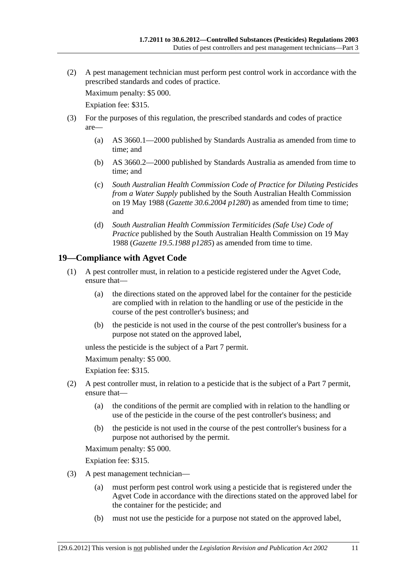<span id="page-10-0"></span> (2) A pest management technician must perform pest control work in accordance with the prescribed standards and codes of practice.

Maximum penalty: \$5 000.

Expiation fee: \$315.

- (3) For the purposes of this regulation, the prescribed standards and codes of practice are—
	- (a) AS 3660.1—2000 published by Standards Australia as amended from time to time; and
	- (b) AS 3660.2—2000 published by Standards Australia as amended from time to time; and
	- (c) *South Australian Health Commission Code of Practice for Diluting Pesticides from a Water Supply* published by the South Australian Health Commission on 19 May 1988 (*Gazette 30.6.2004 p1280*) as amended from time to time; and
	- (d) *South Australian Health Commission Termiticides (Safe Use) Code of Practice* published by the South Australian Health Commission on 19 May 1988 (*Gazette 19.5.1988 p1285*) as amended from time to time.

## **19—Compliance with Agvet Code**

- (1) A pest controller must, in relation to a pesticide registered under the Agvet Code, ensure that—
	- (a) the directions stated on the approved label for the container for the pesticide are complied with in relation to the handling or use of the pesticide in the course of the pest controller's business; and
	- (b) the pesticide is not used in the course of the pest controller's business for a purpose not stated on the approved label,

unless the pesticide is the subject of a Part 7 permit.

Maximum penalty: \$5 000.

Expiation fee: \$315.

- (2) A pest controller must, in relation to a pesticide that is the subject of a Part 7 permit, ensure that—
	- (a) the conditions of the permit are complied with in relation to the handling or use of the pesticide in the course of the pest controller's business; and
	- (b) the pesticide is not used in the course of the pest controller's business for a purpose not authorised by the permit.

Maximum penalty: \$5 000.

Expiation fee: \$315.

- (3) A pest management technician—
	- (a) must perform pest control work using a pesticide that is registered under the Agvet Code in accordance with the directions stated on the approved label for the container for the pesticide; and
	- (b) must not use the pesticide for a purpose not stated on the approved label,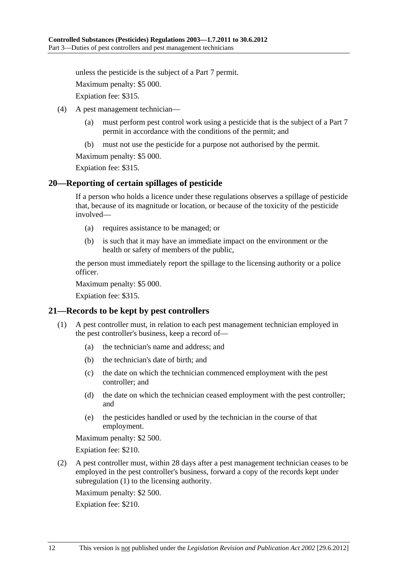<span id="page-11-0"></span>unless the pesticide is the subject of a Part 7 permit.

Maximum penalty: \$5 000.

Expiation fee: \$315.

- (4) A pest management technician—
	- (a) must perform pest control work using a pesticide that is the subject of a Part 7 permit in accordance with the conditions of the permit; and
	- (b) must not use the pesticide for a purpose not authorised by the permit.

Maximum penalty: \$5 000.

Expiation fee: \$315.

#### **20—Reporting of certain spillages of pesticide**

If a person who holds a licence under these regulations observes a spillage of pesticide that, because of its magnitude or location, or because of the toxicity of the pesticide involved—

- (a) requires assistance to be managed; or
- (b) is such that it may have an immediate impact on the environment or the health or safety of members of the public,

the person must immediately report the spillage to the licensing authority or a police officer.

Maximum penalty: \$5 000.

Expiation fee: \$315.

#### **21—Records to be kept by pest controllers**

- (1) A pest controller must, in relation to each pest management technician employed in the pest controller's business, keep a record of—
	- (a) the technician's name and address; and
	- (b) the technician's date of birth; and
	- (c) the date on which the technician commenced employment with the pest controller; and
	- (d) the date on which the technician ceased employment with the pest controller; and
	- (e) the pesticides handled or used by the technician in the course of that employment.

Maximum penalty: \$2 500.

Expiation fee: \$210.

 (2) A pest controller must, within 28 days after a pest management technician ceases to be employed in the pest controller's business, forward a copy of the records kept under [subregulation \(1\)](#page-11-0) to the licensing authority.

Maximum penalty: \$2 500.

Expiation fee: \$210.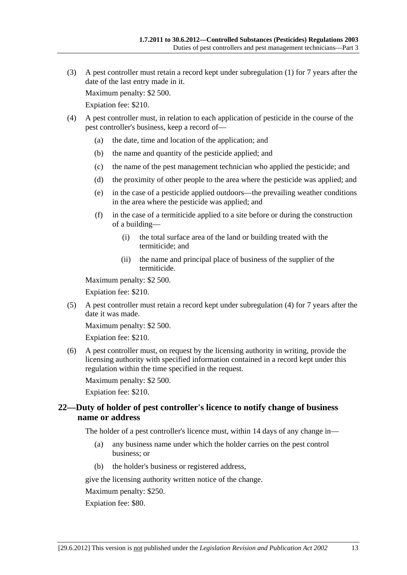<span id="page-12-0"></span> (3) A pest controller must retain a record kept under [subregulation \(1\)](#page-11-0) for 7 years after the date of the last entry made in it.

Maximum penalty: \$2 500.

Expiation fee: \$210.

- (4) A pest controller must, in relation to each application of pesticide in the course of the pest controller's business, keep a record of—
	- (a) the date, time and location of the application; and
	- (b) the name and quantity of the pesticide applied; and
	- (c) the name of the pest management technician who applied the pesticide; and
	- (d) the proximity of other people to the area where the pesticide was applied; and
	- (e) in the case of a pesticide applied outdoors—the prevailing weather conditions in the area where the pesticide was applied; and
	- (f) in the case of a termiticide applied to a site before or during the construction of a building—
		- (i) the total surface area of the land or building treated with the termiticide; and
		- (ii) the name and principal place of business of the supplier of the termiticide.

Maximum penalty: \$2 500.

Expiation fee: \$210.

 (5) A pest controller must retain a record kept under [subregulation \(4\)](#page-12-0) for 7 years after the date it was made.

Maximum penalty: \$2 500.

Expiation fee: \$210.

 (6) A pest controller must, on request by the licensing authority in writing, provide the licensing authority with specified information contained in a record kept under this regulation within the time specified in the request.

Maximum penalty: \$2 500.

Expiation fee: \$210.

## **22—Duty of holder of pest controller's licence to notify change of business name or address**

The holder of a pest controller's licence must, within 14 days of any change in—

- (a) any business name under which the holder carries on the pest control business; or
- (b) the holder's business or registered address,

give the licensing authority written notice of the change.

Maximum penalty: \$250.

Expiation fee: \$80.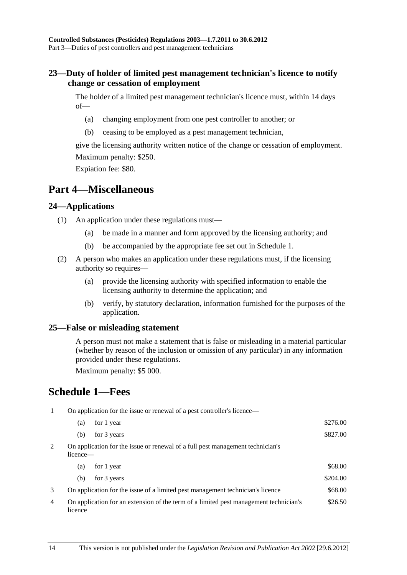## <span id="page-13-0"></span>**23—Duty of holder of limited pest management technician's licence to notify change or cessation of employment**

The holder of a limited pest management technician's licence must, within 14 days of—

- (a) changing employment from one pest controller to another; or
- (b) ceasing to be employed as a pest management technician,

give the licensing authority written notice of the change or cessation of employment. Maximum penalty: \$250.

Expiation fee: \$80.

## **Part 4—Miscellaneous**

## **24—Applications**

- (1) An application under these regulations must—
	- (a) be made in a manner and form approved by the licensing authority; and
	- (b) be accompanied by the appropriate fee set out in [Schedule 1.](#page-13-0)
- (2) A person who makes an application under these regulations must, if the licensing authority so requires—
	- (a) provide the licensing authority with specified information to enable the licensing authority to determine the application; and
	- (b) verify, by statutory declaration, information furnished for the purposes of the application.

## **25—False or misleading statement**

A person must not make a statement that is false or misleading in a material particular (whether by reason of the inclusion or omission of any particular) in any information provided under these regulations.

Maximum penalty: \$5 000.

## **Schedule 1—Fees**

1 On application for the issue or renewal of a pest controller's licence—

| (a) for 1 year            | \$276.00 |
|---------------------------|----------|
| (b) for $3 \text{ years}$ | \$827.00 |

2 On application for the issue or renewal of a full pest management technician's licence—

| for 1 year<br>(a)                                                                                | \$68.00  |
|--------------------------------------------------------------------------------------------------|----------|
| for 3 years<br>(b)                                                                               | \$204.00 |
| On application for the issue of a limited pest management technician's licence                   | \$68.00  |
| On application for an extension of the term of a limited pest management technician's<br>licence | \$26.50  |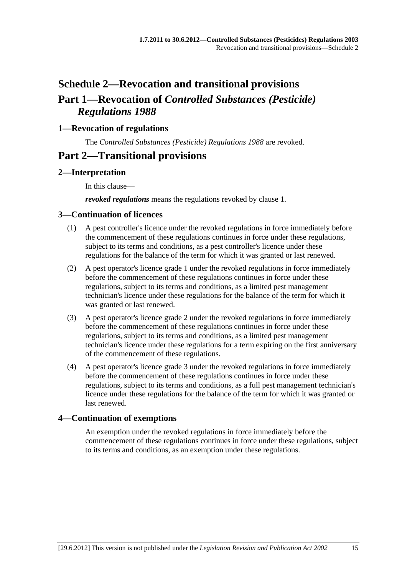# <span id="page-14-0"></span>**Schedule 2—Revocation and transitional provisions Part 1—Revocation of** *Controlled Substances (Pesticide) Regulations 1988*

## **1—Revocation of regulations**

The *[Controlled Substances \(Pesticide\) Regulations 1988](http://www.legislation.sa.gov.au/index.aspx?action=legref&type=subordleg&legtitle=Controlled%20Substances%20(Pesticide)%20Regulations%201988)* are revoked.

## **Part 2—Transitional provisions**

## **2—Interpretation**

In this clause—

*revoked regulations* means the regulations revoked by [clause 1](#page-14-0).

#### **3—Continuation of licences**

- (1) A pest controller's licence under the revoked regulations in force immediately before the commencement of these regulations continues in force under these regulations, subject to its terms and conditions, as a pest controller's licence under these regulations for the balance of the term for which it was granted or last renewed.
- (2) A pest operator's licence grade 1 under the revoked regulations in force immediately before the commencement of these regulations continues in force under these regulations, subject to its terms and conditions, as a limited pest management technician's licence under these regulations for the balance of the term for which it was granted or last renewed.
- (3) A pest operator's licence grade 2 under the revoked regulations in force immediately before the commencement of these regulations continues in force under these regulations, subject to its terms and conditions, as a limited pest management technician's licence under these regulations for a term expiring on the first anniversary of the commencement of these regulations.
- (4) A pest operator's licence grade 3 under the revoked regulations in force immediately before the commencement of these regulations continues in force under these regulations, subject to its terms and conditions, as a full pest management technician's licence under these regulations for the balance of the term for which it was granted or last renewed.

## **4—Continuation of exemptions**

An exemption under the revoked regulations in force immediately before the commencement of these regulations continues in force under these regulations, subject to its terms and conditions, as an exemption under these regulations.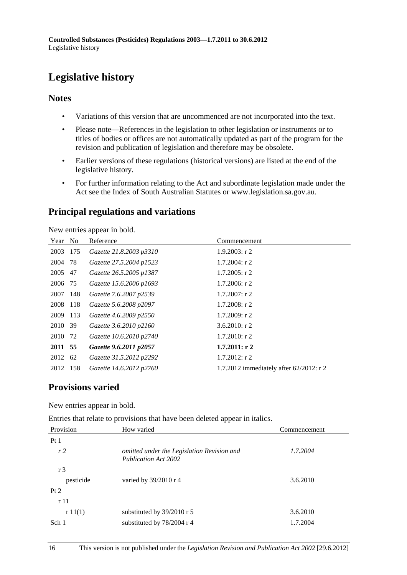# <span id="page-15-0"></span>**Legislative history**

## **Notes**

- Variations of this version that are uncommenced are not incorporated into the text.
- Please note—References in the legislation to other legislation or instruments or to titles of bodies or offices are not automatically updated as part of the program for the revision and publication of legislation and therefore may be obsolete.
- Earlier versions of these regulations (historical versions) are listed at the end of the legislative history.
- For further information relating to the Act and subordinate legislation made under the Act see the Index of South Australian Statutes or www.legislation.sa.gov.au.

## **Principal regulations and variations**

New entries appear in bold.

| Year    | N <sub>0</sub> | Reference               | Commencement                            |
|---------|----------------|-------------------------|-----------------------------------------|
| 2003    | 175            | Gazette 21.8.2003 p3310 | $1.9.2003$ : r 2                        |
| 2004    | 78             | Gazette 27.5.2004 p1523 | $1.7.2004$ : r 2                        |
| 2005    | 47             | Gazette 26.5.2005 p1387 | $1.7.2005$ : r 2                        |
| 2006 75 |                | Gazette 15.6.2006 p1693 | $1.7.2006$ : r 2                        |
| 2007    | 148            | Gazette 7.6.2007 p2539  | $1.7.2007$ : r 2                        |
| 2008    | 118            | Gazette 5.6.2008 p2097  | $1.7.2008$ : r 2                        |
| 2009    | 113            | Gazette 4.6.2009 p2550  | $1.7.2009$ : r 2                        |
| 2010    | 39             | Gazette 3.6.2010 p2160  | $3.6.2010$ : r 2                        |
| 2010 72 |                | Gazette 10.6.2010 p2740 | $1.7.2010$ : r 2                        |
| 2011 55 |                | Gazette 9.6.2011 p2057  | $1.7.2011:$ r 2                         |
| 2012    | 62             | Gazette 31.5.2012 p2292 | $1.7.2012$ : r 2                        |
| 2012    | 158            | Gazette 14.6.2012 p2760 | 1.7.2012 immediately after 62/2012: r 2 |

## **Provisions varied**

New entries appear in bold.

Entries that relate to provisions that have been deleted appear in italics.

| Provision      | How varied                                                                | Commencement |
|----------------|---------------------------------------------------------------------------|--------------|
| Pt1            |                                                                           |              |
| r2             | omitted under the Legislation Revision and<br><b>Publication Act 2002</b> | 1.7.2004     |
| r <sub>3</sub> |                                                                           |              |
| pesticide      | varied by $39/2010$ r 4                                                   | 3.6.2010     |
| Pt 2           |                                                                           |              |
| r11            |                                                                           |              |
| r11(1)         | substituted by 39/2010 r 5                                                | 3.6.2010     |
| Sch 1          | substituted by $78/2004$ r 4                                              | 1.7.2004     |